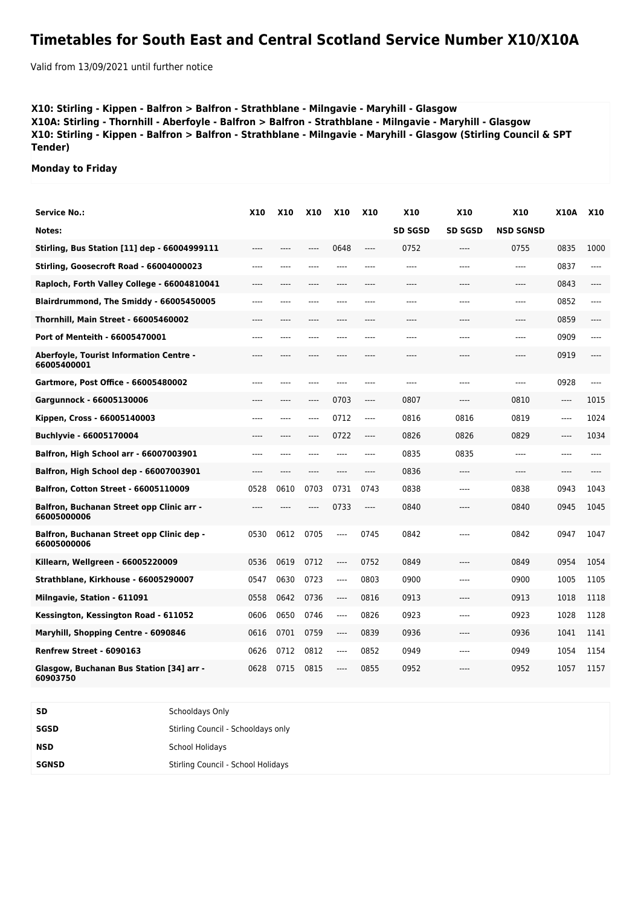## **Timetables for South East and Central Scotland Service Number X10/X10A**

Valid from 13/09/2021 until further notice

## **X10: Stirling - Kippen - Balfron > Balfron - Strathblane - Milngavie - Maryhill - Glasgow X10A: Stirling - Thornhill - Aberfoyle - Balfron > Balfron - Strathblane - Milngavie - Maryhill - Glasgow X10: Stirling - Kippen - Balfron > Balfron - Strathblane - Milngavie - Maryhill - Glasgow (Stirling Council & SPT Tender)**

**Monday to Friday**

| <b>Service No.:</b>                                             | <b>X10</b> | <b>X10</b> | <b>X10</b> | <b>X10</b> | <b>X10</b> | <b>X10</b>     | <b>X10</b>     | <b>X10</b>       | <b>X10A</b> | <b>X10</b> |
|-----------------------------------------------------------------|------------|------------|------------|------------|------------|----------------|----------------|------------------|-------------|------------|
| Notes:                                                          |            |            |            |            |            | <b>SD SGSD</b> | <b>SD SGSD</b> | <b>NSD SGNSD</b> |             |            |
| Stirling, Bus Station [11] dep - 66004999111                    | $---$      | $---$      | ----       | 0648       | $---$      | 0752           | $---$          | 0755             | 0835        | 1000       |
| Stirling, Goosecroft Road - 66004000023                         | ----       | ----       | $---$      | ----       | ----       | ----           | $---$          | ----             | 0837        | $---$      |
| Raploch, Forth Valley College - 66004810041                     | ----       |            | $---$      | ----       | ----       | ----           | ----           | ----             | 0843        | ----       |
| Blairdrummond, The Smiddy - 66005450005                         | ----       | ----       | ----       | ----       | ----       | ----           | ----           | ----             | 0852        | $---$      |
| Thornhill, Main Street - 66005460002                            | ----       | $---$      | ----       | ----       | $---$      | ----           | $---$          | ----             | 0859        | ----       |
| Port of Menteith - 66005470001                                  | ----       | ----       | ----       | ----       | ----       | ----           | ----           | ----             | 0909        | $---$      |
| <b>Aberfoyle, Tourist Information Centre -</b><br>66005400001   | ----       | ----       | ----       | ----       | ----       | ----           | ----           | ----             | 0919        | ----       |
| Gartmore, Post Office - 66005480002                             | ----       | ----       | ----       | ----       | $---$      | ----           | $---$          | ----             | 0928        | $---$      |
| Gargunnock - 66005130006                                        | ----       | ----       | ----       | 0703       | $---$      | 0807           | $---$          | 0810             | $---$       | 1015       |
| Kippen, Cross - 66005140003                                     | ----       | ----       | ----       | 0712       | $---$      | 0816           | 0816           | 0819             | $---$       | 1024       |
| Buchlyvie - 66005170004                                         | ----       | $---$      | ----       | 0722       | $---$      | 0826           | 0826           | 0829             | $---$       | 1034       |
| Balfron, High School arr - 66007003901                          | ----       | ----       | $---$      | $---$      | $---$      | 0835           | 0835           | $---$            | $---$       | $---$      |
| Balfron, High School dep - 66007003901                          | $---$      | $---$      | $---$      | $---$      | $---$      | 0836           | $---$          | ----             | $---$       |            |
| <b>Balfron, Cotton Street - 66005110009</b>                     | 0528       | 0610       | 0703       | 0731       | 0743       | 0838           | $---$          | 0838             | 0943        | 1043       |
| <b>Balfron, Buchanan Street opp Clinic arr -</b><br>66005000006 | $---$      | ----       | $---$      | 0733       | $---$      | 0840           | $---$          | 0840             | 0945        | 1045       |
| Balfron, Buchanan Street opp Clinic dep -<br>66005000006        | 0530       | 0612       | 0705       | ----       | 0745       | 0842           | $---$          | 0842             | 0947        | 1047       |
| Killearn, Wellgreen - 66005220009                               | 0536       | 0619       | 0712       | ----       | 0752       | 0849           | $---$          | 0849             | 0954        | 1054       |
| Strathblane, Kirkhouse - 66005290007                            | 0547       | 0630       | 0723       | ----       | 0803       | 0900           | ----           | 0900             | 1005        | 1105       |
| Milngavie, Station - 611091                                     | 0558       | 0642       | 0736       | ----       | 0816       | 0913           | $---$          | 0913             | 1018        | 1118       |
| Kessington, Kessington Road - 611052                            | 0606       | 0650       | 0746       | ----       | 0826       | 0923           | ----           | 0923             | 1028        | 1128       |
| Maryhill, Shopping Centre - 6090846                             | 0616       | 0701       | 0759       | ----       | 0839       | 0936           | ----           | 0936             | 1041        | 1141       |
| Renfrew Street - 6090163                                        | 0626       | 0712       | 0812       | $-----$    | 0852       | 0949           | ----           | 0949             | 1054        | 1154       |
| Glasgow, Buchanan Bus Station [34] arr -<br>60903750            | 0628       | 0715       | 0815       | ----       | 0855       | 0952           | $---$          | 0952             | 1057        | 1157       |

| <b>SD</b>    | Schooldays Only                    |
|--------------|------------------------------------|
| SGSD         | Stirling Council - Schooldays only |
| <b>NSD</b>   | School Holidays                    |
| <b>SGNSD</b> | Stirling Council - School Holidays |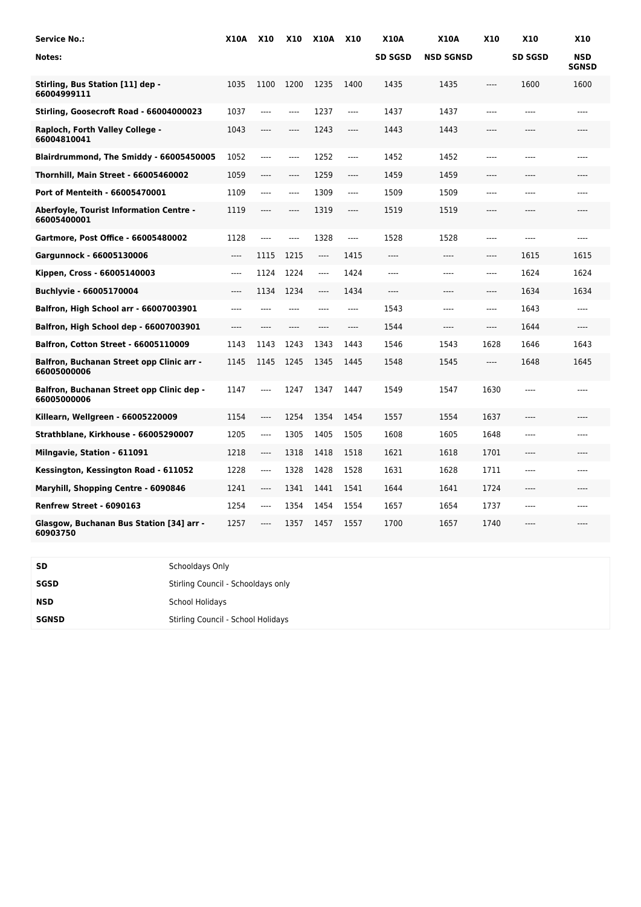| <b>Service No.:</b>                                      | <b>X10A</b> | <b>X10</b> | <b>X10</b> | <b>X10A</b>                   | <b>X10</b> | <b>X10A</b>    | <b>X10A</b>      | <b>X10</b>                    | X10            | <b>X10</b>                 |
|----------------------------------------------------------|-------------|------------|------------|-------------------------------|------------|----------------|------------------|-------------------------------|----------------|----------------------------|
| Notes:                                                   |             |            |            |                               |            | <b>SD SGSD</b> | <b>NSD SGNSD</b> |                               | <b>SD SGSD</b> | <b>NSD</b><br><b>SGNSD</b> |
| Stirling, Bus Station [11] dep -<br>66004999111          | 1035        | 1100       | 1200       | 1235                          | 1400       | 1435           | 1435             | $\hspace{1.5cm} \textbf{---}$ | 1600           | 1600                       |
| Stirling, Goosecroft Road - 66004000023                  | 1037        | $---$      | ----       | 1237                          | ----       | 1437           | 1437             | ----                          | ----           | ----                       |
| Raploch, Forth Valley College -<br>66004810041           | 1043        | ----       | ----       | 1243                          | ----       | 1443           | 1443             | ----                          | ----           | ----                       |
| Blairdrummond, The Smiddy - 66005450005                  | 1052        | $-----$    | ----       | 1252                          | ----       | 1452           | 1452             | ----                          | ----           | ----                       |
| Thornhill, Main Street - 66005460002                     | 1059        | ----       | ----       | 1259                          | ----       | 1459           | 1459             | ----                          | ----           | ----                       |
| Port of Menteith - 66005470001                           | 1109        | ----       | ----       | 1309                          | ----       | 1509           | 1509             | ----                          | ----           | ----                       |
| Aberfoyle, Tourist Information Centre -<br>66005400001   | 1119        | $---$      | ----       | 1319                          | $---$      | 1519           | 1519             | $---$                         | ----           | ----                       |
| Gartmore, Post Office - 66005480002                      | 1128        | $---$      | ----       | 1328                          | $---$      | 1528           | 1528             | $---$                         | $---$          | $---$                      |
| Gargunnock - 66005130006                                 | ----        | 1115       | 1215       | $\hspace{1.5cm} \textbf{---}$ | 1415       | ----           | ----             | $---$                         | 1615           | 1615                       |
| Kippen, Cross - 66005140003                              | ----        | 1124       | 1224       | $---$                         | 1424       | $---$          | ----             | $---$                         | 1624           | 1624                       |
| Buchlyvie - 66005170004                                  | ----        | 1134       | 1234       | $---$                         | 1434       | $---$          | ----             | $---$                         | 1634           | 1634                       |
| <b>Balfron, High School arr - 66007003901</b>            | $---$       | $---$      | $---$      | $---$                         | $---$      | 1543           | ----             | $---$                         | 1643           | $---$                      |
| Balfron, High School dep - 66007003901                   | ----        | $---$      | ----       | ----                          | $---$      | 1544           | $---$            | $---$                         | 1644           | ----                       |
| <b>Balfron, Cotton Street - 66005110009</b>              | 1143        | 1143       | 1243       | 1343                          | 1443       | 1546           | 1543             | 1628                          | 1646           | 1643                       |
| Balfron, Buchanan Street opp Clinic arr -<br>66005000006 | 1145        | 1145       | 1245       | 1345                          | 1445       | 1548           | 1545             | $\cdots$                      | 1648           | 1645                       |
| Balfron, Buchanan Street opp Clinic dep -<br>66005000006 | 1147        | $---$      | 1247       | 1347                          | 1447       | 1549           | 1547             | 1630                          | $---$          | $---$                      |
| Killearn, Wellgreen - 66005220009                        | 1154        | ----       | 1254       | 1354                          | 1454       | 1557           | 1554             | 1637                          | $---$          | $---$                      |
| Strathblane, Kirkhouse - 66005290007                     | 1205        | ----       | 1305       | 1405                          | 1505       | 1608           | 1605             | 1648                          | ----           | ----                       |
| Milngavie, Station - 611091                              | 1218        | ----       | 1318       | 1418                          | 1518       | 1621           | 1618             | 1701                          | $---$          | ----                       |
| Kessington, Kessington Road - 611052                     | 1228        | ----       | 1328       | 1428                          | 1528       | 1631           | 1628             | 1711                          | ----           | ----                       |
| Maryhill, Shopping Centre - 6090846                      | 1241        | $---$      | 1341       | 1441                          | 1541       | 1644           | 1641             | 1724                          | $---$          | $---$                      |
| Renfrew Street - 6090163                                 | 1254        | ----       | 1354       | 1454                          | 1554       | 1657           | 1654             | 1737                          | ----           |                            |
| Glasgow, Buchanan Bus Station [34] arr -<br>60903750     | 1257        | ----       | 1357       | 1457                          | 1557       | 1700           | 1657             | 1740                          | $---$          | ----                       |

| <b>SD</b>    | Schooldays Only                    |
|--------------|------------------------------------|
| SGSD         | Stirling Council - Schooldays only |
| <b>NSD</b>   | <b>School Holidays</b>             |
| <b>SGNSD</b> | Stirling Council - School Holidays |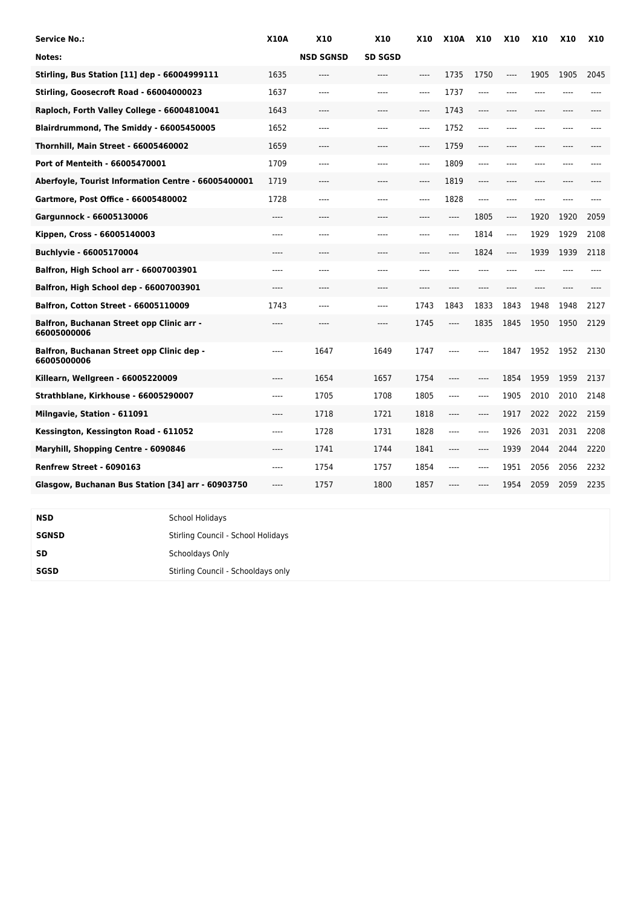| Service No.:                                             | <b>X10A</b> | <b>X10</b>       | <b>X10</b>     | <b>X10</b> | <b>X10A</b> | <b>X10</b> | <b>X10</b> | <b>X10</b> | <b>X10</b> | <b>X10</b> |
|----------------------------------------------------------|-------------|------------------|----------------|------------|-------------|------------|------------|------------|------------|------------|
| Notes:                                                   |             | <b>NSD SGNSD</b> | <b>SD SGSD</b> |            |             |            |            |            |            |            |
| <b>Stirling, Bus Station [11] dep - 66004999111</b>      | 1635        | ----             | ----           | $---$      | 1735        | 1750       | ----       | 1905       | 1905       | 2045       |
| Stirling, Goosecroft Road - 66004000023                  | 1637        | ----             | ----           | $---$      | 1737        | $---$      | ----       | ----       |            |            |
| Raploch, Forth Valley College - 66004810041              | 1643        | ----             | ----           | $---$      | 1743        | $---$      | ----       | ----       |            |            |
| Blairdrummond, The Smiddy - 66005450005                  | 1652        | ----             | ----           | $---$      | 1752        | $---$      | ----       | ----       | ----       |            |
| Thornhill, Main Street - 66005460002                     | 1659        | $---$            | $---$          | $---$      | 1759        | $-----$    | ----       | $---$      | ----       |            |
| Port of Menteith - 66005470001                           | 1709        | ----             | ----           | ----       | 1809        | ----       | ----       | ----       |            |            |
| Aberfoyle, Tourist Information Centre - 66005400001      | 1719        | ----             | ----           | $---$      | 1819        | $---$      | ----       | ----       | ----       |            |
| Gartmore, Post Office - 66005480002                      | 1728        | ----             | ----           | $---$      | 1828        | $---$      | ----       | ----       | ----       |            |
| Gargunnock - 66005130006                                 | ----        | ----             | ----           | $---$      | ----        | 1805       | ----       | 1920       | 1920       | 2059       |
| Kippen, Cross - 66005140003                              | ----        | ----             | ----           | ----       | ----        | 1814       | ----       | 1929       | 1929       | 2108       |
| Buchlyvie - 66005170004                                  | ----        | ----             | ----           | $---$      | ----        | 1824       | $---$      | 1939       | 1939       | 2118       |
| Balfron, High School arr - 66007003901                   | ----        | ----             | ----           | ----       | ----        | $---$      | ----       | ----       |            |            |
| Balfron, High School dep - 66007003901                   | $---$       | ----             | $---$          | $---$      | ----        | $---$      | ----       | $---$      | $---$      |            |
| <b>Balfron, Cotton Street - 66005110009</b>              | 1743        | ----             | ----           | 1743       | 1843        | 1833       | 1843       | 1948       | 1948       | 2127       |
| Balfron, Buchanan Street opp Clinic arr -<br>66005000006 | ----        | ----             | ----           | 1745       | ----        | 1835       | 1845       | 1950       | 1950       | 2129       |
| Balfron, Buchanan Street opp Clinic dep -<br>66005000006 | ----        | 1647             | 1649           | 1747       | ----        | $---$      | 1847       | 1952       | 1952       | 2130       |
| Killearn, Wellgreen - 66005220009                        | ----        | 1654             | 1657           | 1754       | ----        | ----       | 1854       | 1959       | 1959       | 2137       |
| Strathblane, Kirkhouse - 66005290007                     | ----        | 1705             | 1708           | 1805       | ----        | $---$      | 1905       | 2010       | 2010       | 2148       |
| Milngavie, Station - 611091                              | ----        | 1718             | 1721           | 1818       | ----        | $-----$    | 1917       | 2022       | 2022       | 2159       |
| Kessington, Kessington Road - 611052                     | ----        | 1728             | 1731           | 1828       | ----        | $---$      | 1926       | 2031       | 2031       | 2208       |
| Maryhill, Shopping Centre - 6090846                      |             | 1741             | 1744           | 1841       | ----        | $-----$    | 1939       | 2044       | 2044       | 2220       |
| Renfrew Street - 6090163                                 | $---$       | 1754             | 1757           | 1854       | $---$       | $---$      | 1951       | 2056       | 2056       | 2232       |
| Glasgow, Buchanan Bus Station [34] arr - 60903750        | $---$       | 1757             | 1800           | 1857       | ----        | ----       | 1954       | 2059       | 2059       | 2235       |

| NSD          | <b>School Holidays</b>             |
|--------------|------------------------------------|
| <b>SGNSD</b> | Stirling Council - School Holidays |
| <b>SD</b>    | Schooldays Only                    |
| SGSD         | Stirling Council - Schooldays only |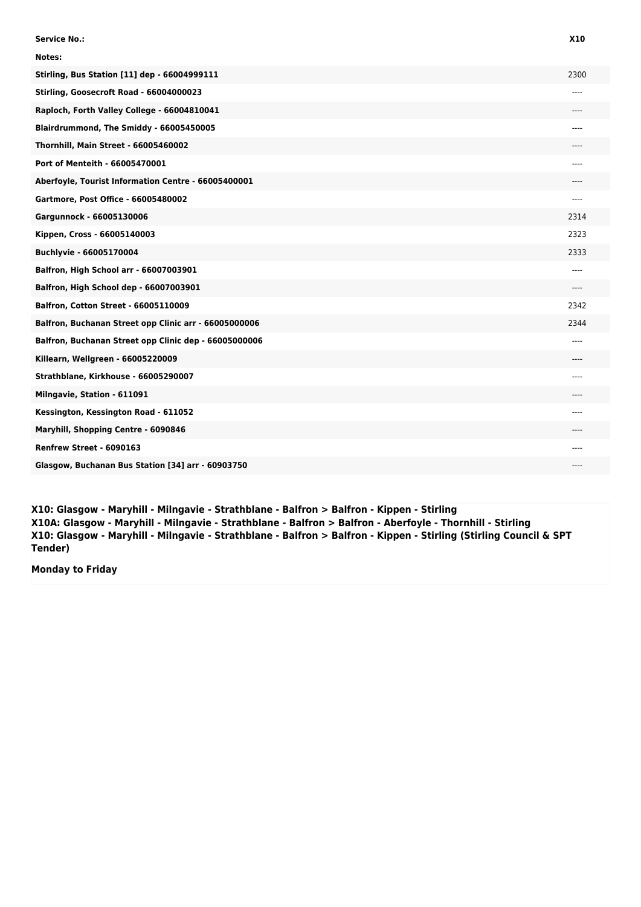| <b>Service No.:</b>                                   | <b>X10</b> |
|-------------------------------------------------------|------------|
| Notes:                                                |            |
| <b>Stirling, Bus Station [11] dep - 66004999111</b>   | 2300       |
| Stirling, Goosecroft Road - 66004000023               | ----       |
| Raploch, Forth Valley College - 66004810041           | ----       |
| Blairdrummond, The Smiddy - 66005450005               | ----       |
| Thornhill, Main Street - 66005460002                  |            |
| Port of Menteith - 66005470001                        | ----       |
| Aberfoyle, Tourist Information Centre - 66005400001   |            |
| Gartmore, Post Office - 66005480002                   | ----       |
| Gargunnock - 66005130006                              | 2314       |
| Kippen, Cross - 66005140003                           | 2323       |
| Buchlyvie - 66005170004                               | 2333       |
| Balfron, High School arr - 66007003901                | ----       |
| Balfron, High School dep - 66007003901                | ----       |
| <b>Balfron, Cotton Street - 66005110009</b>           | 2342       |
| Balfron, Buchanan Street opp Clinic arr - 66005000006 | 2344       |
| Balfron, Buchanan Street opp Clinic dep - 66005000006 | ----       |
| Killearn, Wellgreen - 66005220009                     | ---        |
| Strathblane, Kirkhouse - 66005290007                  | ----       |
| Milngavie, Station - 611091                           | ----       |
| Kessington, Kessington Road - 611052                  | ----       |
| Maryhill, Shopping Centre - 6090846                   | ----       |
| Renfrew Street - 6090163                              | ----       |
| Glasgow, Buchanan Bus Station [34] arr - 60903750     | ----       |

**X10: Glasgow - Maryhill - Milngavie - Strathblane - Balfron > Balfron - Kippen - Stirling X10A: Glasgow - Maryhill - Milngavie - Strathblane - Balfron > Balfron - Aberfoyle - Thornhill - Stirling X10: Glasgow - Maryhill - Milngavie - Strathblane - Balfron > Balfron - Kippen - Stirling (Stirling Council & SPT Tender)**

**Monday to Friday**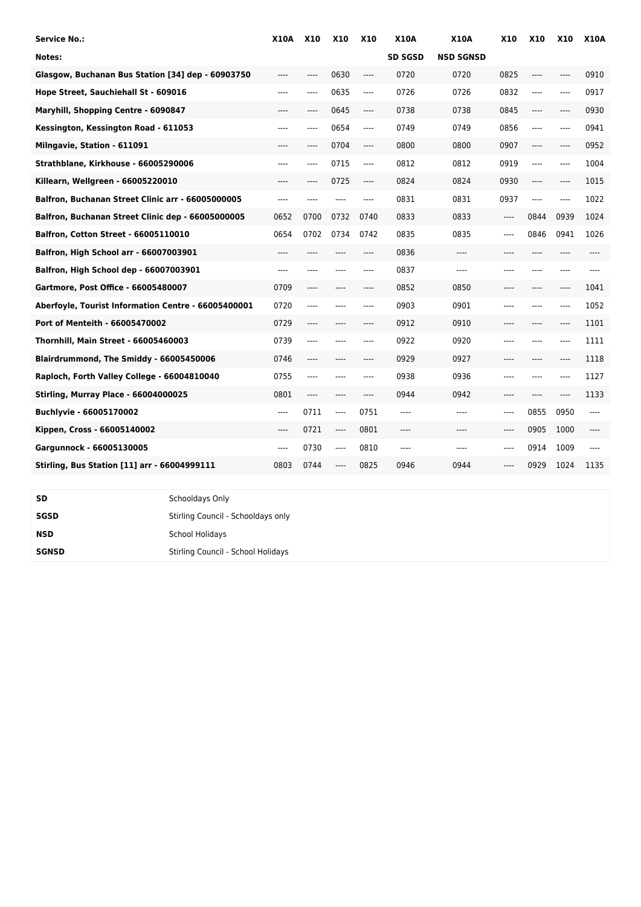| <b>Service No.:</b>                                 | <b>X10A</b> | <b>X10</b> | <b>X10</b> | <b>X10</b> | <b>X10A</b>    | <b>X10A</b>      | <b>X10</b> | <b>X10</b>             | <b>X10</b> | <b>X10A</b> |
|-----------------------------------------------------|-------------|------------|------------|------------|----------------|------------------|------------|------------------------|------------|-------------|
| Notes:                                              |             |            |            |            | <b>SD SGSD</b> | <b>NSD SGNSD</b> |            |                        |            |             |
| Glasgow, Buchanan Bus Station [34] dep - 60903750   | ----        | ----       | 0630       | ----       | 0720           | 0720             | 0825       | ----                   | ----       | 0910        |
| Hope Street, Sauchiehall St - 609016                | ----        | ----       | 0635       | $\cdots$   | 0726           | 0726             | 0832       | ----                   | ----       | 0917        |
| Maryhill, Shopping Centre - 6090847                 | ----        | $---$      | 0645       | $---$      | 0738           | 0738             | 0845       | $---$                  | ----       | 0930        |
| Kessington, Kessington Road - 611053                | ----        | $---$      | 0654       | $\cdots$   | 0749           | 0749             | 0856       | $\qquad \qquad \cdots$ | ----       | 0941        |
| Milngavie, Station - 611091                         | ----        | ----       | 0704       | ----       | 0800           | 0800             | 0907       | $---$                  | ----       | 0952        |
| Strathblane, Kirkhouse - 66005290006                | ----        | ----       | 0715       | $---$      | 0812           | 0812             | 0919       | $---$                  | ----       | 1004        |
| Killearn, Wellgreen - 66005220010                   | ----        | $---$      | 0725       | $---$      | 0824           | 0824             | 0930       | $---$                  | ----       | 1015        |
| Balfron, Buchanan Street Clinic arr - 66005000005   | ----        | ----       | ----       | ----       | 0831           | 0831             | 0937       | $\qquad \qquad \cdots$ | ----       | 1022        |
| Balfron, Buchanan Street Clinic dep - 66005000005   | 0652        | 0700       | 0732       | 0740       | 0833           | 0833             | ----       | 0844                   | 0939       | 1024        |
| Balfron, Cotton Street - 66005110010                | 0654        | 0702       | 0734       | 0742       | 0835           | 0835             | ----       | 0846                   | 0941       | 1026        |
| Balfron, High School arr - 66007003901              | ----        | ----       | ----       | $---$      | 0836           | $---$            | ----       | ----                   | ----       | $---$       |
| Balfron, High School dep - 66007003901              | ----        | ----       |            | ----       | 0837           | ----             | ----       | ----                   | ----       | ----        |
| Gartmore, Post Office - 66005480007                 | 0709        | $---$      | ----       | $---$      | 0852           | 0850             | ----       | ----                   | ----       | 1041        |
| Aberfoyle, Tourist Information Centre - 66005400001 | 0720        | ----       | ----       | $---$      | 0903           | 0901             | ----       | $---$                  | ----       | 1052        |
| Port of Menteith - 66005470002                      | 0729        | ----       | ----       | $---$      | 0912           | 0910             | ----       | ----                   | ----       | 1101        |
| <b>Thornhill, Main Street - 66005460003</b>         | 0739        | ----       |            | ----       | 0922           | 0920             | ----       |                        | ----       | 1111        |
| Blairdrummond, The Smiddy - 66005450006             | 0746        | $---$      | ----       | ----       | 0929           | 0927             | ----       | ----                   | ----       | 1118        |
| Raploch, Forth Valley College - 66004810040         | 0755        | ----       | ----       | $---$      | 0938           | 0936             | ----       | ----                   | $---$      | 1127        |
| Stirling, Murray Place - 66004000025                | 0801        | ----       | ----       | $---$      | 0944           | 0942             | ----       | $---$                  | ----       | 1133        |
| Buchlyvie - 66005170002                             | ----        | 0711       | ----       | 0751       | ----           | $---$            | ----       | 0855                   | 0950       | $---$       |
| Kippen, Cross - 66005140002                         | ----        | 0721       | ----       | 0801       | ----           | $---$            | ----       | 0905                   | 1000       | $---$       |
| Gargunnock - 66005130005                            | ----        | 0730       | ----       | 0810       | ----           | $---$            | ----       | 0914                   | 1009       | $---$       |
| Stirling, Bus Station [11] arr - 66004999111        | 0803        | 0744       | ----       | 0825       | 0946           | 0944             | ----       | 0929                   | 1024       | 1135        |
|                                                     |             |            |            |            |                |                  |            |                        |            |             |
| SD<br>Schooldays Only                               |             |            |            |            |                |                  |            |                        |            |             |

| SGSD         | Stirling Council - Schooldays only |
|--------------|------------------------------------|
| NSD          | <b>School Holidays</b>             |
| <b>SGNSD</b> | Stirling Council - School Holidays |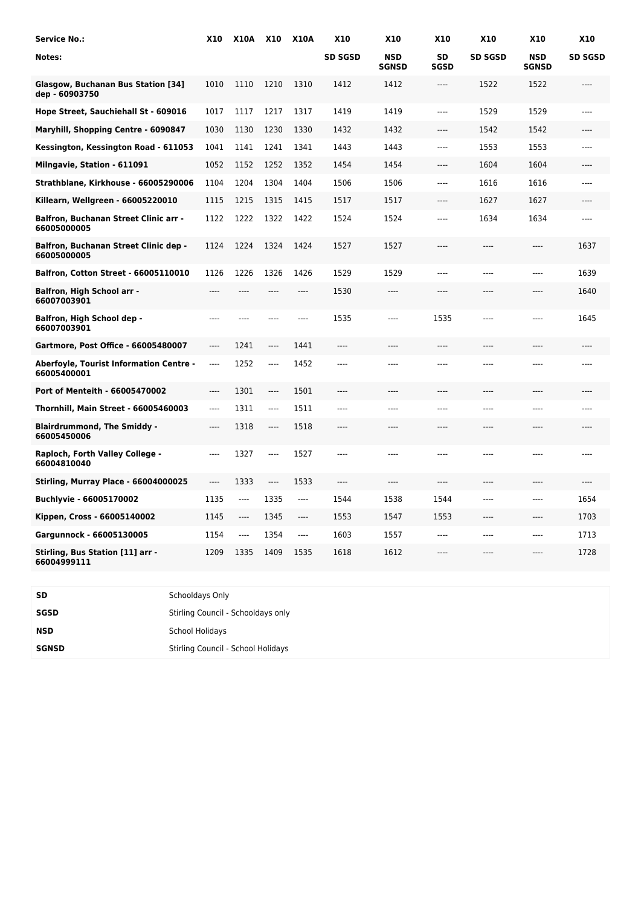| <b>Service No.:</b>                                         | X10   | X10A X10 |          | <b>X10A</b> | <b>X10</b>     | X10                        | <b>X10</b>        | <b>X10</b>     | X10                        | X10            |
|-------------------------------------------------------------|-------|----------|----------|-------------|----------------|----------------------------|-------------------|----------------|----------------------------|----------------|
| Notes:                                                      |       |          |          |             | <b>SD SGSD</b> | <b>NSD</b><br><b>SGNSD</b> | SD<br><b>SGSD</b> | <b>SD SGSD</b> | <b>NSD</b><br><b>SGNSD</b> | <b>SD SGSD</b> |
| Glasgow, Buchanan Bus Station [34]<br>dep - 60903750        | 1010  | 1110     | 1210     | 1310        | 1412           | 1412                       | $\cdots$          | 1522           | 1522                       | ----           |
| Hope Street, Sauchiehall St - 609016                        | 1017  | 1117     | 1217     | 1317        | 1419           | 1419                       | ----              | 1529           | 1529                       | $---$          |
| Maryhill, Shopping Centre - 6090847                         | 1030  | 1130     | 1230     | 1330        | 1432           | 1432                       | ----              | 1542           | 1542                       | $---$          |
| Kessington, Kessington Road - 611053                        | 1041  | 1141     | 1241     | 1341        | 1443           | 1443                       | ----              | 1553           | 1553                       | $---$          |
| Milngavie, Station - 611091                                 | 1052  | 1152     | 1252     | 1352        | 1454           | 1454                       | ----              | 1604           | 1604                       | ----           |
| Strathblane, Kirkhouse - 66005290006                        | 1104  | 1204     | 1304     | 1404        | 1506           | 1506                       | ----              | 1616           | 1616                       | $---$          |
| Killearn, Wellgreen - 66005220010                           | 1115  | 1215     | 1315     | 1415        | 1517           | 1517                       | ----              | 1627           | 1627                       | ----           |
| Balfron, Buchanan Street Clinic arr -<br>66005000005        | 1122  | 1222     | 1322     | 1422        | 1524           | 1524                       | ----              | 1634           | 1634                       | ----           |
| <b>Balfron, Buchanan Street Clinic dep -</b><br>66005000005 | 1124  | 1224     | 1324     | 1424        | 1527           | 1527                       | ----              | ----           | ----                       | 1637           |
| <b>Balfron, Cotton Street - 66005110010</b>                 | 1126  | 1226     | 1326     | 1426        | 1529           | 1529                       | $---$             | ----           | $---$                      | 1639           |
| <b>Balfron, High School arr -</b><br>66007003901            | ----  | ----     | $---$    | ----        | 1530           | $---$                      | ----              | ----           | ----                       | 1640           |
| Balfron, High School dep -<br>66007003901                   |       |          |          | ----        | 1535           | ----                       | 1535              | ----           | ----                       | 1645           |
| Gartmore, Post Office - 66005480007                         | ----  | 1241     | ----     | 1441        | ----           | ----                       | ----              | ----           | ----                       |                |
| Aberfoyle, Tourist Information Centre -<br>66005400001      | ----  | 1252     | ----     | 1452        | ----           |                            |                   |                | ----                       |                |
| Port of Menteith - 66005470002                              | ----  | 1301     | $---$    | 1501        | ----           | ----                       | ----              |                | ----                       |                |
| Thornhill, Main Street - 66005460003                        | ----  | 1311     | $\cdots$ | 1511        | $---$          | $---$                      | ----              | ----           | ----                       | $---$          |
| <b>Blairdrummond, The Smiddy -</b><br>66005450006           | ----  | 1318     | ----     | 1518        | $---$          | ----                       | ----              | ----           | ----                       | $---$          |
| Raploch, Forth Valley College -<br>66004810040              | $---$ | 1327     | $---$    | 1527        | $---$          | $---$                      | ----              | ----           | ----                       | $---$          |
| Stirling, Murray Place - 66004000025                        | ----  | 1333     | ----     | 1533        | $---$          | $---$                      | ----              | ----           | ----                       | $---$          |
| Buchlyvie - 66005170002                                     | 1135  | ----     | 1335     | $---$       | 1544           | 1538                       | 1544              | ----           | ----                       | 1654           |
| Kippen, Cross - 66005140002                                 | 1145  | ----     | 1345     | ----        | 1553           | 1547                       | 1553              | ----           | ----                       | 1703           |
| Gargunnock - 66005130005                                    | 1154  | ----     | 1354     | ----        | 1603           | 1557                       | ----              | ----           | ----                       | 1713           |
| Stirling, Bus Station [11] arr -<br>66004999111             | 1209  | 1335     | 1409     | 1535        | 1618           | 1612                       | ----              | ----           | ----                       | 1728           |

| <b>SD</b>    | Schooldays Only                    |
|--------------|------------------------------------|
| SGSD         | Stirling Council - Schooldays only |
| <b>NSD</b>   | School Holidays                    |
| <b>SGNSD</b> | Stirling Council - School Holidays |